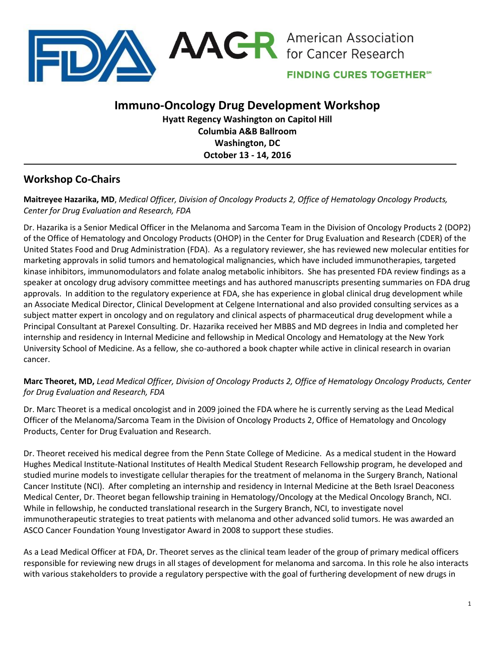

**FINDING CURES TOGETHER®** 

# **Immuno-Oncology Drug Development Workshop**

**Hyatt Regency Washington on Capitol Hill Columbia A&B Ballroom Washington, DC October 13 - 14, 2016**

# **Workshop Co-Chairs**

## **Maitreyee Hazarika, MD**, *Medical Officer, Division of Oncology Products 2, Office of Hematology Oncology Products, Center for Drug Evaluation and Research, FDA*

Dr. Hazarika is a Senior Medical Officer in the Melanoma and Sarcoma Team in the Division of Oncology Products 2 (DOP2) of the Office of Hematology and Oncology Products (OHOP) in the Center for Drug Evaluation and Research (CDER) of the United States Food and Drug Administration (FDA). As a regulatory reviewer, she has reviewed new molecular entities for marketing approvals in solid tumors and hematological malignancies, which have included immunotherapies, targeted kinase inhibitors, immunomodulators and folate analog metabolic inhibitors. She has presented FDA review findings as a speaker at oncology drug advisory committee meetings and has authored manuscripts presenting summaries on FDA drug approvals. In addition to the regulatory experience at FDA, she has experience in global clinical drug development while an Associate Medical Director, Clinical Development at Celgene International and also provided consulting services as a subject matter expert in oncology and on regulatory and clinical aspects of pharmaceutical drug development while a Principal Consultant at Parexel Consulting. Dr. Hazarika received her MBBS and MD degrees in India and completed her internship and residency in Internal Medicine and fellowship in Medical Oncology and Hematology at the New York University School of Medicine. As a fellow, she co-authored a book chapter while active in clinical research in ovarian cancer.

# **Marc Theoret, MD,** *Lead Medical Officer, Division of Oncology Products 2, Office of Hematology Oncology Products, Center for Drug Evaluation and Research, FDA*

Dr. Marc Theoret is a medical oncologist and in 2009 joined the FDA where he is currently serving as the Lead Medical Officer of the Melanoma/Sarcoma Team in the Division of Oncology Products 2, Office of Hematology and Oncology Products, Center for Drug Evaluation and Research.

Dr. Theoret received his medical degree from the Penn State College of Medicine. As a medical student in the Howard Hughes Medical Institute-National Institutes of Health Medical Student Research Fellowship program, he developed and studied murine models to investigate cellular therapies for the treatment of melanoma in the Surgery Branch, National Cancer Institute (NCI). After completing an internship and residency in Internal Medicine at the Beth Israel Deaconess Medical Center, Dr. Theoret began fellowship training in Hematology/Oncology at the Medical Oncology Branch, NCI. While in fellowship, he conducted translational research in the Surgery Branch, NCI, to investigate novel immunotherapeutic strategies to treat patients with melanoma and other advanced solid tumors. He was awarded an ASCO Cancer Foundation Young Investigator Award in 2008 to support these studies.

As a Lead Medical Officer at FDA, Dr. Theoret serves as the clinical team leader of the group of primary medical officers responsible for reviewing new drugs in all stages of development for melanoma and sarcoma. In this role he also interacts with various stakeholders to provide a regulatory perspective with the goal of furthering development of new drugs in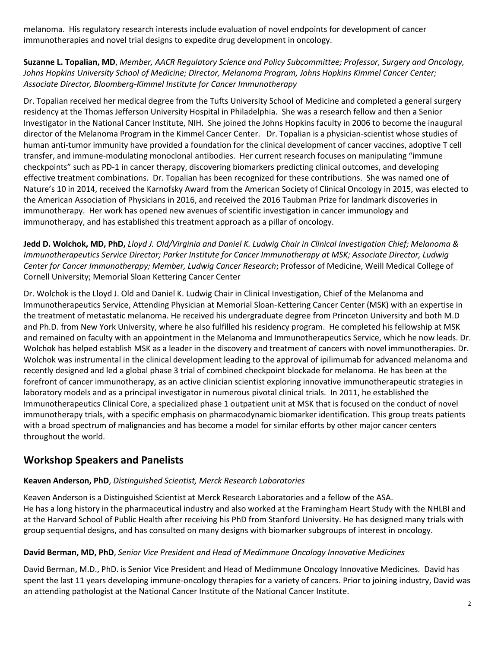melanoma. His regulatory research interests include evaluation of novel endpoints for development of cancer immunotherapies and novel trial designs to expedite drug development in oncology.

**Suzanne L. Topalian, MD**, *Member, AACR Regulatory Science and Policy Subcommittee; Professor, Surgery and Oncology, Johns Hopkins University School of Medicine; Director, Melanoma Program, Johns Hopkins Kimmel Cancer Center; Associate Director, Bloomberg-Kimmel Institute for Cancer Immunotherapy*

Dr. Topalian received her medical degree from the Tufts University School of Medicine and completed a general surgery residency at the Thomas Jefferson University Hospital in Philadelphia. She was a research fellow and then a Senior Investigator in the National Cancer Institute, NIH. She joined the Johns Hopkins faculty in 2006 to become the inaugural director of the Melanoma Program in the Kimmel Cancer Center. Dr. Topalian is a physician-scientist whose studies of human anti-tumor immunity have provided a foundation for the clinical development of cancer vaccines, adoptive T cell transfer, and immune-modulating monoclonal antibodies. Her current research focuses on manipulating "immune checkpoints" such as PD-1 in cancer therapy, discovering biomarkers predicting clinical outcomes, and developing effective treatment combinations. Dr. Topalian has been recognized for these contributions. She was named one of Nature's 10 in 2014, received the Karnofsky Award from the American Society of Clinical Oncology in 2015, was elected to the American Association of Physicians in 2016, and received the 2016 Taubman Prize for landmark discoveries in immunotherapy. Her work has opened new avenues of scientific investigation in cancer immunology and immunotherapy, and has established this treatment approach as a pillar of oncology.

**Jedd D. Wolchok, MD, PhD,** *Lloyd J. Old/Virginia and Daniel K. Ludwig Chair in Clinical Investigation Chief; Melanoma & Immunotherapeutics Service Director; Parker Institute for Cancer Immunotherapy at MSK; Associate Director, Ludwig Center for Cancer Immunotherapy; Member, Ludwig Cancer Research*; Professor of Medicine, Weill Medical College of Cornell University; Memorial Sloan Kettering Cancer Center

Dr. Wolchok is the Lloyd J. Old and Daniel K. Ludwig Chair in Clinical Investigation, Chief of the Melanoma and Immunotherapeutics Service, Attending Physician at Memorial Sloan-Kettering Cancer Center (MSK) with an expertise in the treatment of metastatic melanoma. He received his undergraduate degree from Princeton University and both M.D and Ph.D. from New York University, where he also fulfilled his residency program. He completed his fellowship at MSK and remained on faculty with an appointment in the Melanoma and Immunotherapeutics Service, which he now leads. Dr. Wolchok has helped establish MSK as a leader in the discovery and treatment of cancers with novel immunotherapies. Dr. Wolchok was instrumental in the clinical development leading to the approval of ipilimumab for advanced melanoma and recently designed and led a global phase 3 trial of combined checkpoint blockade for melanoma. He has been at the forefront of cancer immunotherapy, as an active clinician scientist exploring innovative immunotherapeutic strategies in laboratory models and as a principal investigator in numerous pivotal clinical trials. In 2011, he established the Immunotherapeutics Clinical Core, a specialized phase 1 outpatient unit at MSK that is focused on the conduct of novel immunotherapy trials, with a specific emphasis on pharmacodynamic biomarker identification. This group treats patients with a broad spectrum of malignancies and has become a model for similar efforts by other major cancer centers throughout the world.

# **Workshop Speakers and Panelists**

### **Keaven Anderson, PhD**, *Distinguished Scientist, Merck Research Laboratories*

Keaven Anderson is a Distinguished Scientist at Merck Research Laboratories and a fellow of the ASA. He has a long history in the pharmaceutical industry and also worked at the Framingham Heart Study with the NHLBI and at the Harvard School of Public Health after receiving his PhD from Stanford University. He has designed many trials with group sequential designs, and has consulted on many designs with biomarker subgroups of interest in oncology.

#### **David Berman, MD, PhD**, *Senior Vice President and Head of Medimmune Oncology Innovative Medicines*

David Berman, M.D., PhD. is Senior Vice President and Head of Medimmune Oncology Innovative Medicines. David has spent the last 11 years developing immune-oncology therapies for a variety of cancers. Prior to joining industry, David was an attending pathologist at the National Cancer Institute of the National Cancer Institute.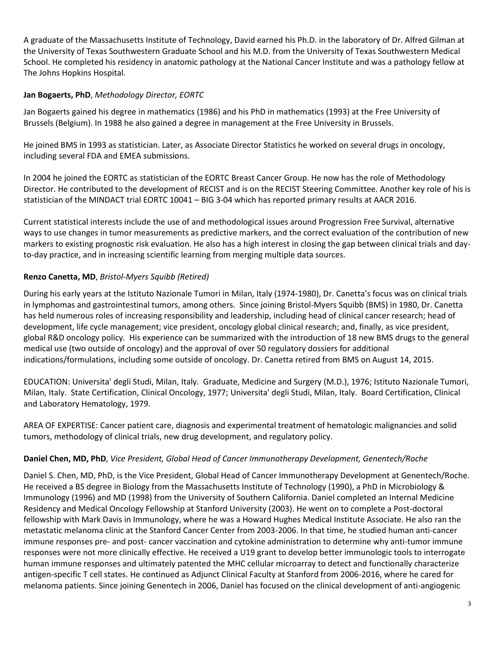A graduate of the Massachusetts Institute of Technology, David earned his Ph.D. in the laboratory of Dr. Alfred Gilman at the University of Texas Southwestern Graduate School and his M.D. from the University of Texas Southwestern Medical School. He completed his residency in anatomic pathology at the National Cancer Institute and was a pathology fellow at The Johns Hopkins Hospital.

### **Jan Bogaerts, PhD**, *Methodology Director, EORTC*

Jan Bogaerts gained his degree in mathematics (1986) and his PhD in mathematics (1993) at the Free University of Brussels (Belgium). In 1988 he also gained a degree in management at the Free University in Brussels.

He joined BMS in 1993 as statistician. Later, as Associate Director Statistics he worked on several drugs in oncology, including several FDA and EMEA submissions.

In 2004 he joined the EORTC as statistician of the EORTC Breast Cancer Group. He now has the role of Methodology Director. He contributed to the development of RECIST and is on the RECIST Steering Committee. Another key role of his is statistician of the MINDACT trial EORTC 10041 – BIG 3-04 which has reported primary results at AACR 2016.

Current statistical interests include the use of and methodological issues around Progression Free Survival, alternative ways to use changes in tumor measurements as predictive markers, and the correct evaluation of the contribution of new markers to existing prognostic risk evaluation. He also has a high interest in closing the gap between clinical trials and dayto-day practice, and in increasing scientific learning from merging multiple data sources.

# **Renzo Canetta, MD**, *Bristol-Myers Squibb (Retired)*

During his early years at the Istituto Nazionale Tumori in Milan, Italy (1974-1980), Dr. Canetta's focus was on clinical trials in lymphomas and gastrointestinal tumors, among others. Since joining Bristol-Myers Squibb (BMS) in 1980, Dr. Canetta has held numerous roles of increasing responsibility and leadership, including head of clinical cancer research; head of development, life cycle management; vice president, oncology global clinical research; and, finally, as vice president, global R&D oncology policy. His experience can be summarized with the introduction of 18 new BMS drugs to the general medical use (two outside of oncology) and the approval of over 50 regulatory dossiers for additional indications/formulations, including some outside of oncology. Dr. Canetta retired from BMS on August 14, 2015.

EDUCATION: Universita' degli Studi, Milan, Italy. Graduate, Medicine and Surgery (M.D.), 1976; Istituto Nazionale Tumori, Milan, Italy. State Certification, Clinical Oncology, 1977; Universita' degli Studi, Milan, Italy. Board Certification, Clinical and Laboratory Hematology, 1979.

AREA OF EXPERTISE: Cancer patient care, diagnosis and experimental treatment of hematologic malignancies and solid tumors, methodology of clinical trials, new drug development, and regulatory policy.

# **Daniel Chen, MD, PhD**, *Vice President, Global Head of Cancer Immunotherapy Development, Genentech/Roche*

Daniel S. Chen, MD, PhD, is the Vice President, Global Head of Cancer Immunotherapy Development at Genentech/Roche. He received a BS degree in Biology from the Massachusetts Institute of Technology (1990), a PhD in Microbiology & Immunology (1996) and MD (1998) from the University of Southern California. Daniel completed an Internal Medicine Residency and Medical Oncology Fellowship at Stanford University (2003). He went on to complete a Post-doctoral fellowship with Mark Davis in Immunology, where he was a Howard Hughes Medical Institute Associate. He also ran the metastatic melanoma clinic at the Stanford Cancer Center from 2003-2006. In that time, he studied human anti-cancer immune responses pre- and post- cancer vaccination and cytokine administration to determine why anti-tumor immune responses were not more clinically effective. He received a U19 grant to develop better immunologic tools to interrogate human immune responses and ultimately patented the MHC cellular microarray to detect and functionally characterize antigen-specific T cell states. He continued as Adjunct Clinical Faculty at Stanford from 2006-2016, where he cared for melanoma patients. Since joining Genentech in 2006, Daniel has focused on the clinical development of anti-angiogenic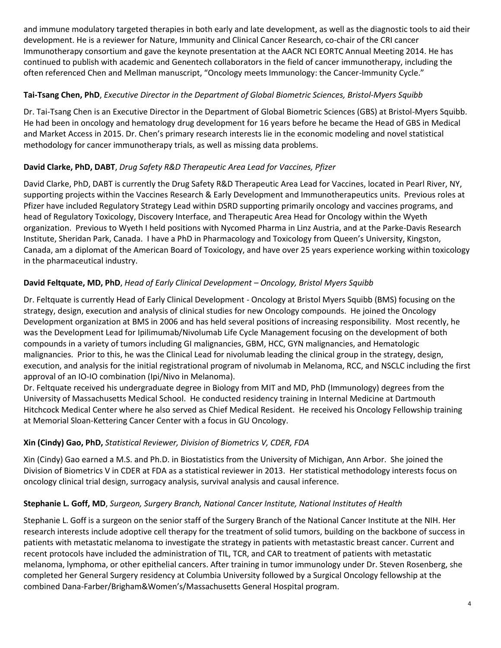and immune modulatory targeted therapies in both early and late development, as well as the diagnostic tools to aid their development. He is a reviewer for Nature, Immunity and Clinical Cancer Research, co-chair of the CRI cancer Immunotherapy consortium and gave the keynote presentation at the AACR NCI EORTC Annual Meeting 2014. He has continued to publish with academic and Genentech collaborators in the field of cancer immunotherapy, including the often referenced Chen and Mellman manuscript, "Oncology meets Immunology: the Cancer-Immunity Cycle."

## **Tai-Tsang Chen, PhD**, *Executive Director in the Department of Global Biometric Sciences, Bristol-Myers Squibb*

Dr. Tai-Tsang Chen is an Executive Director in the Department of Global Biometric Sciences (GBS) at Bristol-Myers Squibb. He had been in oncology and hematology drug development for 16 years before he became the Head of GBS in Medical and Market Access in 2015. Dr. Chen's primary research interests lie in the economic modeling and novel statistical methodology for cancer immunotherapy trials, as well as missing data problems.

# **David Clarke, PhD, DABT**, *Drug Safety R&D Therapeutic Area Lead for Vaccines, Pfizer*

David Clarke, PhD, DABT is currently the Drug Safety R&D Therapeutic Area Lead for Vaccines, located in Pearl River, NY, supporting projects within the Vaccines Research & Early Development and Immunotherapeutics units. Previous roles at Pfizer have included Regulatory Strategy Lead within DSRD supporting primarily oncology and vaccines programs, and head of Regulatory Toxicology, Discovery Interface, and Therapeutic Area Head for Oncology within the Wyeth organization. Previous to Wyeth I held positions with Nycomed Pharma in Linz Austria, and at the Parke-Davis Research Institute, Sheridan Park, Canada. I have a PhD in Pharmacology and Toxicology from Queen's University, Kingston, Canada, am a diplomat of the American Board of Toxicology, and have over 25 years experience working within toxicology in the pharmaceutical industry.

### **David Feltquate, MD, PhD**, *Head of Early Clinical Development – Oncology, Bristol Myers Squibb*

Dr. Feltquate is currently Head of Early Clinical Development - Oncology at Bristol Myers Squibb (BMS) focusing on the strategy, design, execution and analysis of clinical studies for new Oncology compounds. He joined the Oncology Development organization at BMS in 2006 and has held several positions of increasing responsibility. Most recently, he was the Development Lead for Ipilimumab/Nivolumab Life Cycle Management focusing on the development of both compounds in a variety of tumors including GI malignancies, GBM, HCC, GYN malignancies, and Hematologic malignancies. Prior to this, he was the Clinical Lead for nivolumab leading the clinical group in the strategy, design, execution, and analysis for the initial registrational program of nivolumab in Melanoma, RCC, and NSCLC including the first approval of an IO-IO combination (Ipi/Nivo in Melanoma).

Dr. Feltquate received his undergraduate degree in Biology from MIT and MD, PhD (Immunology) degrees from the University of Massachusetts Medical School. He conducted residency training in Internal Medicine at Dartmouth Hitchcock Medical Center where he also served as Chief Medical Resident. He received his Oncology Fellowship training at Memorial Sloan-Kettering Cancer Center with a focus in GU Oncology.

### **Xin (Cindy) Gao, PhD,** *Statistical Reviewer, Division of Biometrics V, CDER, FDA*

Xin (Cindy) Gao earned a M.S. and Ph.D. in Biostatistics from the University of Michigan, Ann Arbor. She joined the Division of Biometrics V in CDER at FDA as a statistical reviewer in 2013. Her statistical methodology interests focus on oncology clinical trial design, surrogacy analysis, survival analysis and causal inference.

### **Stephanie L. Goff, MD**, *Surgeon, Surgery Branch, National Cancer Institute, National Institutes of Health*

Stephanie L. Goff is a surgeon on the senior staff of the Surgery Branch of the National Cancer Institute at the NIH. Her research interests include adoptive cell therapy for the treatment of solid tumors, building on the backbone of success in patients with metastatic melanoma to investigate the strategy in patients with metastastic breast cancer. Current and recent protocols have included the administration of TIL, TCR, and CAR to treatment of patients with metastatic melanoma, lymphoma, or other epithelial cancers. After training in tumor immunology under Dr. Steven Rosenberg, she completed her General Surgery residency at Columbia University followed by a Surgical Oncology fellowship at the combined Dana-Farber/Brigham&Women's/Massachusetts General Hospital program.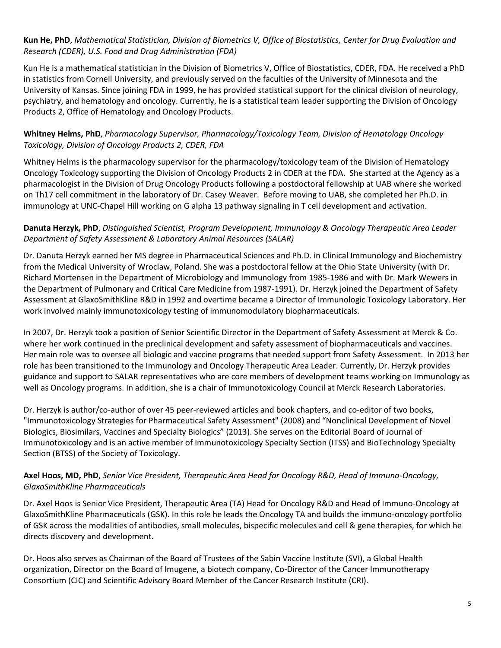### **Kun He, PhD**, *Mathematical Statistician, Division of Biometrics V, Office of Biostatistics, Center for Drug Evaluation and Research (CDER), U.S. Food and Drug Administration (FDA)*

Kun He is a mathematical statistician in the Division of Biometrics V, Office of Biostatistics, CDER, FDA. He received a PhD in statistics from Cornell University, and previously served on the faculties of the University of Minnesota and the University of Kansas. Since joining FDA in 1999, he has provided statistical support for the clinical division of neurology, psychiatry, and hematology and oncology. Currently, he is a statistical team leader supporting the Division of Oncology Products 2, Office of Hematology and Oncology Products.

### **Whitney Helms, PhD**, *Pharmacology Supervisor, Pharmacology/Toxicology Team, Division of Hematology Oncology Toxicology, Division of Oncology Products 2, CDER, FDA*

Whitney Helms is the pharmacology supervisor for the pharmacology/toxicology team of the Division of Hematology Oncology Toxicology supporting the Division of Oncology Products 2 in CDER at the FDA. She started at the Agency as a pharmacologist in the Division of Drug Oncology Products following a postdoctoral fellowship at UAB where she worked on Th17 cell commitment in the laboratory of Dr. Casey Weaver. Before moving to UAB, she completed her Ph.D. in immunology at UNC-Chapel Hill working on G alpha 13 pathway signaling in T cell development and activation.

### **Danuta Herzyk, PhD**, *Distinguished Scientist, Program Development, Immunology & Oncology Therapeutic Area Leader Department of Safety Assessment & Laboratory Animal Resources (SALAR)*

Dr. Danuta Herzyk earned her MS degree in Pharmaceutical Sciences and Ph.D. in Clinical Immunology and Biochemistry from the Medical University of Wroclaw, Poland. She was a postdoctoral fellow at the Ohio State University (with Dr. Richard Mortensen in the Department of Microbiology and Immunology from 1985-1986 and with Dr. Mark Wewers in the Department of Pulmonary and Critical Care Medicine from 1987-1991). Dr. Herzyk joined the Department of Safety Assessment at GlaxoSmithKline R&D in 1992 and overtime became a Director of Immunologic Toxicology Laboratory. Her work involved mainly immunotoxicology testing of immunomodulatory biopharmaceuticals.

In 2007, Dr. Herzyk took a position of Senior Scientific Director in the Department of Safety Assessment at Merck & Co. where her work continued in the preclinical development and safety assessment of biopharmaceuticals and vaccines. Her main role was to oversee all biologic and vaccine programs that needed support from Safety Assessment. In 2013 her role has been transitioned to the Immunology and Oncology Therapeutic Area Leader. Currently, Dr. Herzyk provides guidance and support to SALAR representatives who are core members of development teams working on Immunology as well as Oncology programs. In addition, she is a chair of Immunotoxicology Council at Merck Research Laboratories.

Dr. Herzyk is author/co-author of over 45 peer-reviewed articles and book chapters, and co-editor of two books, "Immunotoxicology Strategies for Pharmaceutical Safety Assessment" (2008) and "Nonclinical Development of Novel Biologics, Biosimilars, Vaccines and Specialty Biologics" (2013). She serves on the Editorial Board of Journal of Immunotoxicology and is an active member of Immunotoxicology Specialty Section (ITSS) and BioTechnology Specialty Section (BTSS) of the Society of Toxicology.

### **Axel Hoos, MD, PhD**, *Senior Vice President, Therapeutic Area Head for Oncology R&D, Head of Immuno-Oncology, GlaxoSmithKline Pharmaceuticals*

Dr. Axel Hoos is Senior Vice President, Therapeutic Area (TA) Head for Oncology R&D and Head of Immuno-Oncology at GlaxoSmithKline Pharmaceuticals (GSK). In this role he leads the Oncology TA and builds the immuno-oncology portfolio of GSK across the modalities of antibodies, small molecules, bispecific molecules and cell & gene therapies, for which he directs discovery and development.

Dr. Hoos also serves as Chairman of the Board of Trustees of the Sabin Vaccine Institute (SVI), a Global Health organization, Director on the Board of Imugene, a biotech company, Co-Director of the Cancer Immunotherapy Consortium (CIC) and Scientific Advisory Board Member of the Cancer Research Institute (CRI).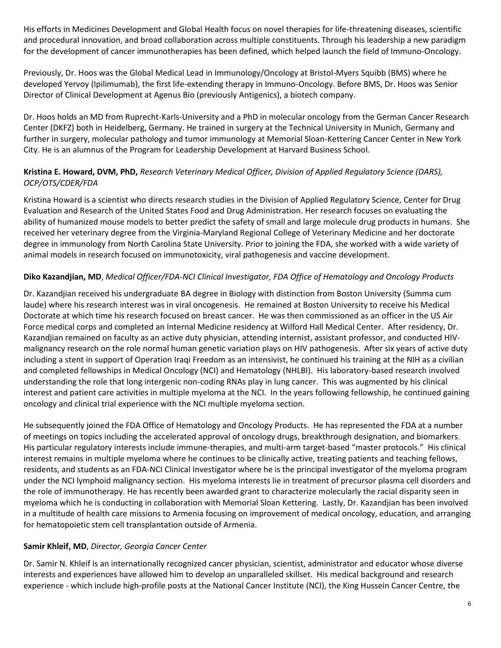His efforts in Medicines Development and Global Health focus on novel therapies for life-threatening diseases, scientific and procedural innovation, and broad collaboration across multiple constituents. Through his leadership a new paradigm for the development of cancer immunotherapies has been defined, which helped launch the field of Immuno-Oncology.

Previously, Dr. Hoos was the Global Medical Lead in Immunology/Oncology at Bristol-Myers Squibb (BMS) where he developed Yervoy (Ipilimumab), the first life-extending therapy in Immuno-Oncology. Before BMS, Dr. Hoos was Senior Director of Clinical Development at Agenus Bio (previously Antigenics), a biotech company.

Dr. Hoos holds an MD from Ruprecht-Karls-University and a PhD in molecular oncology from the German Cancer Research Center (DKFZ) both in Heidelberg, Germany. He trained in surgery at the Technical University in Munich, Germany and further in surgery, molecular pathology and tumor immunology at Memorial Sloan-Kettering Cancer Center in New York City. He is an alumnus of the Program for Leadership Development at Harvard Business School.

## **Kristina E. Howard, DVM, PhD,** *Research Veterinary Medical Officer, Division of Applied Regulatory Science (DARS), OCP/OTS/CDER/FDA*

Kristina Howard is a scientist who directs research studies in the Division of Applied Regulatory Science, Center for Drug Evaluation and Research of the United States Food and Drug Administration. Her research focuses on evaluating the ability of humanized mouse models to better predict the safety of small and large molecule drug products in humans. She received her veterinary degree from the Virginia-Maryland Regional College of Veterinary Medicine and her doctorate degree in immunology from North Carolina State University. Prior to joining the FDA, she worked with a wide variety of animal models in research focused on immunotoxicity, viral pathogenesis and vaccine development.

### **Diko Kazandjian, MD**, *Medical Officer/FDA-NCI Clinical Investigator, FDA Office of Hematology and Oncology Products*

Dr. Kazandjian received his undergraduate BA degree in Biology with distinction from Boston University (Summa cum laude) where his research interest was in viral oncogenesis. He remained at Boston University to receive his Medical Doctorate at which time his research focused on breast cancer. He was then commissioned as an officer in the US Air Force medical corps and completed an Internal Medicine residency at Wilford Hall Medical Center. After residency, Dr. Kazandjian remained on faculty as an active duty physician, attending internist, assistant professor, and conducted HIVmalignancy research on the role normal human genetic variation plays on HIV pathogenesis. After six years of active duty including a stent in support of Operation Iraqi Freedom as an intensivist, he continued his training at the NIH as a civilian and completed fellowships in Medical Oncology (NCI) and Hematology (NHLBI). His laboratory-based research involved understanding the role that long intergenic non-coding RNAs play in lung cancer. This was augmented by his clinical interest and patient care activities in multiple myeloma at the NCI. In the years following fellowship, he continued gaining oncology and clinical trial experience with the NCI multiple myeloma section.

He subsequently joined the FDA Office of Hematology and Oncology Products. He has represented the FDA at a number of meetings on topics including the accelerated approval of oncology drugs, breakthrough designation, and biomarkers. His particular regulatory interests include immune-therapies, and multi-arm target-based "master protocols." His clinical interest remains in multiple myeloma where he continues to be clinically active, treating patients and teaching fellows, residents, and students as an FDA-NCI Clinical Investigator where he is the principal investigator of the myeloma program under the NCI lymphoid malignancy section. His myeloma interests lie in treatment of precursor plasma cell disorders and the role of immunotherapy. He has recently been awarded grant to characterize molecularly the racial disparity seen in myeloma which he is conducting in collaboration with Memorial Sloan Kettering. Lastly, Dr. Kazandjian has been involved in a multitude of health care missions to Armenia focusing on improvement of medical oncology, education, and arranging for hematopoietic stem cell transplantation outside of Armenia.

### **Samir Khleif, MD**, *Director, Georgia Cancer Center*

Dr. Samir N. Khleif is an internationally recognized cancer physician, scientist, administrator and educator whose diverse interests and experiences have allowed him to develop an unparalleled skillset. His medical background and research experience - which include high-profile posts at the National Cancer Institute (NCI), the King Hussein Cancer Centre, the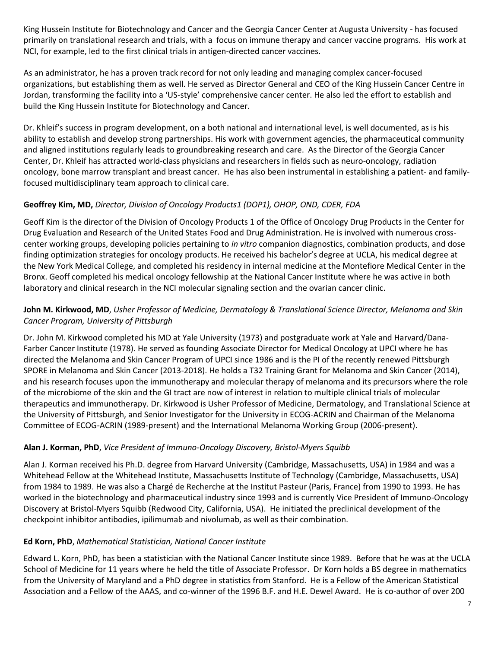King Hussein Institute for Biotechnology and Cancer and the Georgia Cancer Center at Augusta University - has focused primarily on translational research and trials, with a focus on immune therapy and cancer vaccine programs. His work at NCI, for example, led to the first clinical trials in antigen-directed cancer vaccines.

As an administrator, he has a proven track record for not only leading and managing complex cancer-focused organizations, but establishing them as well. He served as Director General and CEO of the King Hussein Cancer Centre in Jordan, transforming the facility into a 'US-style' comprehensive cancer center. He also led the effort to establish and build the King Hussein Institute for Biotechnology and Cancer.

Dr. Khleif's success in program development, on a both national and international level, is well documented, as is his ability to establish and develop strong partnerships. His work with government agencies, the pharmaceutical community and aligned institutions regularly leads to groundbreaking research and care. As the Director of the Georgia Cancer Center, Dr. Khleif has attracted world-class physicians and researchers in fields such as neuro-oncology, radiation oncology, bone marrow transplant and breast cancer. He has also been instrumental in establishing a patient- and familyfocused multidisciplinary team approach to clinical care.

# **Geoffrey Kim, MD,** *Director, Division of Oncology Products1 (DOP1), OHOP, OND, CDER, FDA*

Geoff Kim is the director of the Division of Oncology Products 1 of the Office of Oncology Drug Products in the Center for Drug Evaluation and Research of the United States Food and Drug Administration. He is involved with numerous crosscenter working groups, developing policies pertaining to *in vitro* companion diagnostics, combination products, and dose finding optimization strategies for oncology products. He received his bachelor's degree at UCLA, his medical degree at the New York Medical College, and completed his residency in internal medicine at the Montefiore Medical Center in the Bronx. Geoff completed his medical oncology fellowship at the National Cancer Institute where he was active in both laboratory and clinical research in the NCI molecular signaling section and the ovarian cancer clinic.

### **John M. Kirkwood, MD**, *Usher Professor of Medicine, Dermatology & Translational Science Director, Melanoma and Skin Cancer Program, University of Pittsburgh*

Dr. John M. Kirkwood completed his MD at Yale University (1973) and postgraduate work at Yale and Harvard/Dana-Farber Cancer Institute (1978). He served as founding Associate Director for Medical Oncology at UPCI where he has directed the Melanoma and Skin Cancer Program of UPCI since 1986 and is the PI of the recently renewed Pittsburgh SPORE in Melanoma and Skin Cancer (2013-2018). He holds a T32 Training Grant for Melanoma and Skin Cancer (2014), and his research focuses upon the immunotherapy and molecular therapy of melanoma and its precursors where the role of the microbiome of the skin and the GI tract are now of interest in relation to multiple clinical trials of molecular therapeutics and immunotherapy. Dr. Kirkwood is Usher Professor of Medicine, Dermatology, and Translational Science at the University of Pittsburgh, and Senior Investigator for the University in ECOG-ACRIN and Chairman of the Melanoma Committee of ECOG-ACRIN (1989-present) and the International Melanoma Working Group (2006-present).

# **Alan J. Korman, PhD**, *Vice President of Immuno-Oncology Discovery, Bristol-Myers Squibb*

Alan J. Korman received his Ph.D. degree from Harvard University (Cambridge, Massachusetts, USA) in 1984 and was a Whitehead Fellow at the Whitehead Institute, Massachusetts Institute of Technology (Cambridge, Massachusetts, USA) from 1984 to 1989. He was also a Chargé de Recherche at the Institut Pasteur (Paris, France) from 1990 to 1993. He has worked in the biotechnology and pharmaceutical industry since 1993 and is currently Vice President of Immuno-Oncology Discovery at Bristol-Myers Squibb (Redwood City, California, USA). He initiated the preclinical development of the checkpoint inhibitor antibodies, ipilimumab and nivolumab, as well as their combination.

# **Ed Korn, PhD**, *Mathematical Statistician, National Cancer Institute*

Edward L. Korn, PhD, has been a statistician with the National Cancer Institute since 1989. Before that he was at the UCLA School of Medicine for 11 years where he held the title of Associate Professor. Dr Korn holds a BS degree in mathematics from the University of Maryland and a PhD degree in statistics from Stanford. He is a Fellow of the American Statistical Association and a Fellow of the AAAS, and co-winner of the 1996 B.F. and H.E. Dewel Award. He is co-author of over 200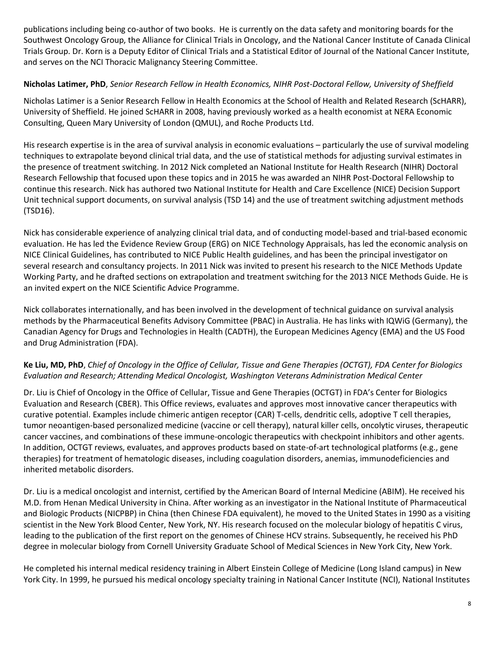publications including being co-author of two books. He is currently on the data safety and monitoring boards for the Southwest Oncology Group, the Alliance for Clinical Trials in Oncology, and the National Cancer Institute of Canada Clinical Trials Group. Dr. Korn is a Deputy Editor of Clinical Trials and a Statistical Editor of Journal of the National Cancer Institute, and serves on the NCI Thoracic Malignancy Steering Committee.

#### **Nicholas Latimer, PhD**, *Senior Research Fellow in Health Economics, NIHR Post-Doctoral Fellow, University of Sheffield*

Nicholas Latimer is a Senior Research Fellow in Health Economics at the School of Health and Related Research (ScHARR), University of Sheffield. He joined ScHARR in 2008, having previously worked as a health economist at NERA Economic Consulting, Queen Mary University of London (QMUL), and Roche Products Ltd.

His research expertise is in the area of survival analysis in economic evaluations – particularly the use of survival modeling techniques to extrapolate beyond clinical trial data, and the use of statistical methods for adjusting survival estimates in the presence of treatment switching. In 2012 Nick completed an National Institute for Health Research (NIHR) Doctoral Research Fellowship that focused upon these topics and in 2015 he was awarded an NIHR Post-Doctoral Fellowship to continue this research. Nick has authored two National Institute for Health and Care Excellence (NICE) Decision Support Unit technical support documents, on survival analysis (TSD 14) and the use of treatment switching adjustment methods (TSD16).

Nick has considerable experience of analyzing clinical trial data, and of conducting model-based and trial-based economic evaluation. He has led the Evidence Review Group (ERG) on NICE Technology Appraisals, has led the economic analysis on NICE Clinical Guidelines, has contributed to NICE Public Health guidelines, and has been the principal investigator on several research and consultancy projects. In 2011 Nick was invited to present his research to the NICE Methods Update Working Party, and he drafted sections on extrapolation and treatment switching for the 2013 NICE Methods Guide. He is an invited expert on the NICE Scientific Advice Programme.

Nick collaborates internationally, and has been involved in the development of technical guidance on survival analysis methods by the Pharmaceutical Benefits Advisory Committee (PBAC) in Australia. He has links with IQWiG (Germany), the Canadian Agency for Drugs and Technologies in Health (CADTH), the European Medicines Agency (EMA) and the US Food and Drug Administration (FDA).

# **Ke Liu, MD, PhD**, *Chief of Oncology in the Office of Cellular, Tissue and Gene Therapies (OCTGT), FDA Center for Biologics Evaluation and Research; Attending Medical Oncologist, Washington Veterans Administration Medical Center*

Dr. Liu is Chief of Oncology in the Office of Cellular, Tissue and Gene Therapies (OCTGT) in FDA's Center for Biologics Evaluation and Research (CBER). This Office reviews, evaluates and approves most innovative cancer therapeutics with curative potential. Examples include chimeric antigen receptor (CAR) T-cells, dendritic cells, adoptive T cell therapies, tumor neoantigen-based personalized medicine (vaccine or cell therapy), natural killer cells, oncolytic viruses, therapeutic cancer vaccines, and combinations of these immune-oncologic therapeutics with checkpoint inhibitors and other agents. In addition, OCTGT reviews, evaluates, and approves products based on state-of-art technological platforms (e.g., gene therapies) for treatment of hematologic diseases, including coagulation disorders, anemias, immunodeficiencies and inherited metabolic disorders.

Dr. Liu is a medical oncologist and internist, certified by the American Board of Internal Medicine (ABIM). He received his M.D. from Henan Medical University in China. After working as an investigator in the National Institute of Pharmaceutical and Biologic Products (NICPBP) in China (then Chinese FDA equivalent), he moved to the United States in 1990 as a visiting scientist in the New York Blood Center, New York, NY. His research focused on the molecular biology of hepatitis C virus, leading to the publication of the first report on the genomes of Chinese HCV strains. Subsequently, he received his PhD degree in molecular biology from Cornell University Graduate School of Medical Sciences in New York City, New York.

He completed his internal medical residency training in Albert Einstein College of Medicine (Long Island campus) in New York City. In 1999, he pursued his medical oncology specialty training in National Cancer Institute (NCI), National Institutes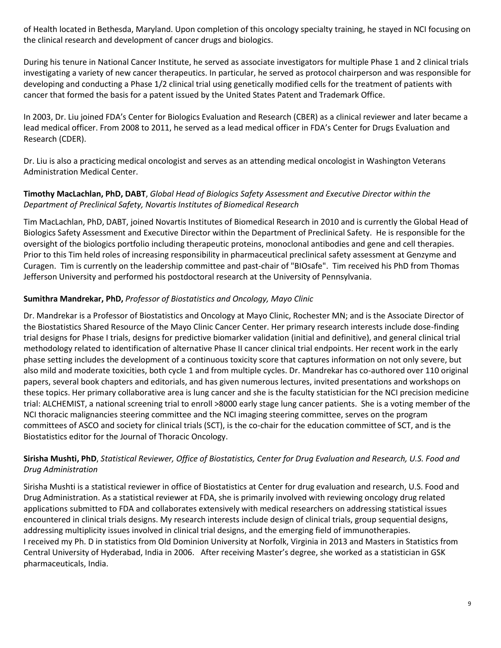of Health located in Bethesda, Maryland. Upon completion of this oncology specialty training, he stayed in NCI focusing on the clinical research and development of cancer drugs and biologics.

During his tenure in National Cancer Institute, he served as associate investigators for multiple Phase 1 and 2 clinical trials investigating a variety of new cancer therapeutics. In particular, he served as protocol chairperson and was responsible for developing and conducting a Phase 1/2 clinical trial using genetically modified cells for the treatment of patients with cancer that formed the basis for a patent issued by the United States Patent and Trademark Office.

In 2003, Dr. Liu joined FDA's Center for Biologics Evaluation and Research (CBER) as a clinical reviewer and later became a lead medical officer. From 2008 to 2011, he served as a lead medical officer in FDA's Center for Drugs Evaluation and Research (CDER).

Dr. Liu is also a practicing medical oncologist and serves as an attending medical oncologist in Washington Veterans Administration Medical Center.

### **Timothy MacLachlan, PhD, DABT**, *Global Head of Biologics Safety Assessment and Executive Director within the Department of Preclinical Safety, Novartis Institutes of Biomedical Research*

Tim MacLachlan, PhD, DABT, joined Novartis Institutes of Biomedical Research in 2010 and is currently the Global Head of Biologics Safety Assessment and Executive Director within the Department of Preclinical Safety. He is responsible for the oversight of the biologics portfolio including therapeutic proteins, monoclonal antibodies and gene and cell therapies. Prior to this Tim held roles of increasing responsibility in pharmaceutical preclinical safety assessment at Genzyme and Curagen. Tim is currently on the leadership committee and past-chair of "BIOsafe". Tim received his PhD from Thomas Jefferson University and performed his postdoctoral research at the University of Pennsylvania.

# **Sumithra Mandrekar, PhD,** *Professor of Biostatistics and Oncology, Mayo Clinic*

Dr. Mandrekar is a Professor of Biostatistics and Oncology at Mayo Clinic, Rochester MN; and is the Associate Director of the Biostatistics Shared Resource of the Mayo Clinic Cancer Center. Her primary research interests include dose-finding trial designs for Phase I trials, designs for predictive biomarker validation (initial and definitive), and general clinical trial methodology related to identification of alternative Phase II cancer clinical trial endpoints. Her recent work in the early phase setting includes the development of a continuous toxicity score that captures information on not only severe, but also mild and moderate toxicities, both cycle 1 and from multiple cycles. Dr. Mandrekar has co-authored over 110 original papers, several book chapters and editorials, and has given numerous lectures, invited presentations and workshops on these topics. Her primary collaborative area is lung cancer and she is the faculty statistician for the NCI precision medicine trial: ALCHEMIST, a national screening trial to enroll >8000 early stage lung cancer patients. She is a voting member of the NCI thoracic malignancies steering committee and the NCI imaging steering committee, serves on the program committees of ASCO and society for clinical trials (SCT), is the co-chair for the education committee of SCT, and is the Biostatistics editor for the Journal of Thoracic Oncology.

### **Sirisha Mushti, PhD**, *Statistical Reviewer, Office of Biostatistics, Center for Drug Evaluation and Research, U.S. Food and Drug Administration*

Sirisha Mushti is a statistical reviewer in office of Biostatistics at Center for drug evaluation and research, U.S. Food and Drug Administration. As a statistical reviewer at FDA, she is primarily involved with reviewing oncology drug related applications submitted to FDA and collaborates extensively with medical researchers on addressing statistical issues encountered in clinical trials designs. My research interests include design of clinical trials, group sequential designs, addressing multiplicity issues involved in clinical trial designs, and the emerging field of immunotherapies. I received my Ph. D in statistics from Old Dominion University at Norfolk, Virginia in 2013 and Masters in Statistics from Central University of Hyderabad, India in 2006. After receiving Master's degree, she worked as a statistician in GSK pharmaceuticals, India.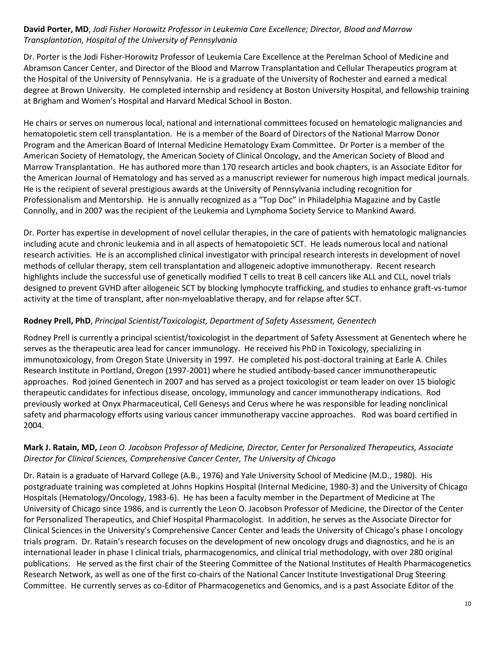### **David Porter, MD**, *Jodi Fisher Horowitz Professor in Leukemia Care Excellence; Director, Blood and Marrow Transplantation, Hospital of the University of Pennsylvania*

Dr. Porter is the Jodi Fisher-Horowitz Professor of Leukemia Care Excellence at the Perelman School of Medicine and Abramson Cancer Center, and Director of the Blood and Marrow Transplantation and Cellular Therapeutics program at the Hospital of the University of Pennsylvania. He is a graduate of the University of Rochester and earned a medical degree at Brown University. He completed internship and residency at Boston University Hospital, and fellowship training at Brigham and Women's Hospital and Harvard Medical School in Boston.

He chairs or serves on numerous local, national and international committees focused on hematologic malignancies and hematopoietic stem cell transplantation. He is a member of the Board of Directors of the National Marrow Donor Program and the American Board of Internal Medicine Hematology Exam Committee. Dr Porter is a member of the American Society of Hematology, the American Society of Clinical Oncology, and the American Society of Blood and Marrow Transplantation. He has authored more than 170 research articles and book chapters, is an Associate Editor for the American Journal of Hematology and has served as a manuscript reviewer for numerous high impact medical journals. He is the recipient of several prestigious awards at the University of Pennsylvania including recognition for Professionalism and Mentorship. He is annually recognized as a "Top Doc" in Philadelphia Magazine and by Castle Connolly, and in 2007 was the recipient of the Leukemia and Lymphoma Society Service to Mankind Award.

Dr. Porter has expertise in development of novel cellular therapies, in the care of patients with hematologic malignancies including acute and chronic leukemia and in all aspects of hematopoietic SCT. He leads numerous local and national research activities. He is an accomplished clinical investigator with principal research interests in development of novel methods of cellular therapy, stem cell transplantation and allogeneic adoptive immunotherapy. Recent research highlights include the successful use of genetically modified T cells to treat B cell cancers like ALL and CLL, novel trials designed to prevent GVHD after allogeneic SCT by blocking lymphocyte trafficking, and studies to enhance graft-vs-tumor activity at the time of transplant, after non-myeloablative therapy, and for relapse after SCT.

#### **Rodney Prell, PhD**, *Principal Scientist/Toxicologist, Department of Safety Assessment, Genentech*

Rodney Prell is currently a principal scientist/toxicologist in the department of Safety Assessment at Genentech where he serves as the therapeutic area lead for cancer immunology. He received his PhD in Toxicology, specializing in immunotoxicology, from Oregon State University in 1997. He completed his post-doctoral training at Earle A. Chiles Research Institute in Portland, Oregon (1997-2001) where he studied antibody-based cancer immunotherapeutic approaches. Rod joined Genentech in 2007 and has served as a project toxicologist or team leader on over 15 biologic therapeutic candidates for infectious disease, oncology, immunology and cancer immunotherapy indications. Rod previously worked at Onyx Pharmaceutical, Cell Genesys and Cerus where he was responsible for leading nonclinical safety and pharmacology efforts using various cancer immunotherapy vaccine approaches. Rod was board certified in 2004.

### **Mark J. Ratain, MD,** *Leon O. Jacobson Professor of Medicine, Director, Center for Personalized Therapeutics, Associate Director for Clinical Sciences, Comprehensive Cancer Center, The University of Chicago*

Dr. Ratain is a graduate of Harvard College (A.B., 1976) and Yale University School of Medicine (M.D., 1980). His postgraduate training was completed at Johns Hopkins Hospital (Internal Medicine, 1980-3) and the University of Chicago Hospitals (Hematology/Oncology, 1983-6). He has been a faculty member in the Department of Medicine at The University of Chicago since 1986, and is currently the Leon O. Jacobson Professor of Medicine, the Director of the Center for Personalized Therapeutics, and Chief Hospital Pharmacologist. In addition, he serves as the Associate Director for Clinical Sciences in the University's Comprehensive Cancer Center and leads the University of Chicago's phase I oncology trials program. Dr. Ratain's research focuses on the development of new oncology drugs and diagnostics, and he is an international leader in phase I clinical trials, pharmacogenomics, and clinical trial methodology, with over 280 original publications. He served as the first chair of the Steering Committee of the National Institutes of Health Pharmacogenetics Research Network, as well as one of the first co-chairs of the National Cancer Institute Investigational Drug Steering Committee. He currently serves as co-Editor of Pharmacogenetics and Genomics, and is a past Associate Editor of the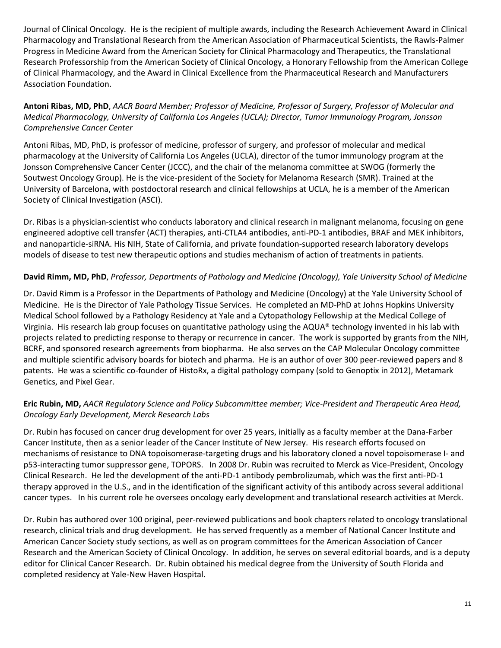Journal of Clinical Oncology. He is the recipient of multiple awards, including the Research Achievement Award in Clinical Pharmacology and Translational Research from the American Association of Pharmaceutical Scientists, the Rawls-Palmer Progress in Medicine Award from the American Society for Clinical Pharmacology and Therapeutics, the Translational Research Professorship from the American Society of Clinical Oncology, a Honorary Fellowship from the American College of Clinical Pharmacology, and the Award in Clinical Excellence from the Pharmaceutical Research and Manufacturers Association Foundation.

**Antoni Ribas, MD, PhD**, *AACR Board Member; Professor of Medicine, Professor of Surgery, Professor of Molecular and Medical Pharmacology, University of California Los Angeles (UCLA); Director, Tumor Immunology Program, Jonsson Comprehensive Cancer Center* 

Antoni Ribas, MD, PhD, is professor of medicine, professor of surgery, and professor of molecular and medical pharmacology at the University of California Los Angeles (UCLA), director of the tumor immunology program at the Jonsson Comprehensive Cancer Center (JCCC), and the chair of the melanoma committee at SWOG (formerly the Soutwest Oncology Group). He is the vice-president of the Society for Melanoma Research (SMR). Trained at the University of Barcelona, with postdoctoral research and clinical fellowships at UCLA, he is a member of the American Society of Clinical Investigation (ASCI).

Dr. Ribas is a physician-scientist who conducts laboratory and clinical research in malignant melanoma, focusing on gene engineered adoptive cell transfer (ACT) therapies, anti-CTLA4 antibodies, anti-PD-1 antibodies, BRAF and MEK inhibitors, and nanoparticle-siRNA. His NIH, State of California, and private foundation-supported research laboratory develops models of disease to test new therapeutic options and studies mechanism of action of treatments in patients.

### **David Rimm, MD, PhD**, *Professor, Departments of Pathology and Medicine (Oncology), Yale University School of Medicine*

Dr. David Rimm is a Professor in the Departments of Pathology and Medicine (Oncology) at the Yale University School of Medicine. He is the Director of Yale Pathology Tissue Services. He completed an MD-PhD at Johns Hopkins University Medical School followed by a Pathology Residency at Yale and a Cytopathology Fellowship at the Medical College of Virginia. His research lab group focuses on quantitative pathology using the AQUA® technology invented in his lab with projects related to predicting response to therapy or recurrence in cancer. The work is supported by grants from the NIH, BCRF, and sponsored research agreements from biopharma. He also serves on the CAP Molecular Oncology committee and multiple scientific advisory boards for biotech and pharma. He is an author of over 300 peer-reviewed papers and 8 patents. He was a scientific co-founder of HistoRx, a digital pathology company (sold to Genoptix in 2012), Metamark Genetics, and Pixel Gear.

### **Eric Rubin, MD,** *AACR Regulatory Science and Policy Subcommittee member; Vice-President and Therapeutic Area Head, Oncology Early Development, Merck Research Labs*

Dr. Rubin has focused on cancer drug development for over 25 years, initially as a faculty member at the Dana-Farber Cancer Institute, then as a senior leader of the Cancer Institute of New Jersey. His research efforts focused on mechanisms of resistance to DNA topoisomerase-targeting drugs and his laboratory cloned a novel topoisomerase I- and p53-interacting tumor suppressor gene, TOPORS. In 2008 Dr. Rubin was recruited to Merck as Vice-President, Oncology Clinical Research. He led the development of the anti-PD-1 antibody pembrolizumab, which was the first anti-PD-1 therapy approved in the U.S., and in the identification of the significant activity of this antibody across several additional cancer types. In his current role he oversees oncology early development and translational research activities at Merck.

Dr. Rubin has authored over 100 original, peer-reviewed publications and book chapters related to oncology translational research, clinical trials and drug development. He has served frequently as a member of National Cancer Institute and American Cancer Society study sections, as well as on program committees for the American Association of Cancer Research and the American Society of Clinical Oncology. In addition, he serves on several editorial boards, and is a deputy editor for Clinical Cancer Research. Dr. Rubin obtained his medical degree from the University of South Florida and completed residency at Yale-New Haven Hospital.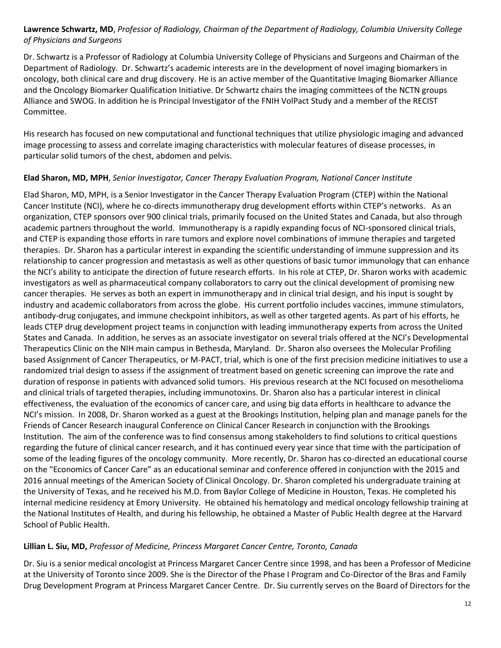**Lawrence Schwartz, MD**, *Professor of Radiology, Chairman of the Department of Radiology, Columbia University College of Physicians and Surgeons*

Dr. Schwartz is a Professor of Radiology at Columbia University College of Physicians and Surgeons and Chairman of the Department of Radiology. Dr. Schwartz's academic interests are in the development of novel imaging biomarkers in oncology, both clinical care and drug discovery. He is an active member of the Quantitative Imaging Biomarker Alliance and the Oncology Biomarker Qualification Initiative. Dr Schwartz chairs the imaging committees of the NCTN groups Alliance and SWOG. In addition he is Principal Investigator of the FNIH VolPact Study and a member of the RECIST Committee.

His research has focused on new computational and functional techniques that utilize physiologic imaging and advanced image processing to assess and correlate imaging characteristics with molecular features of disease processes, in particular solid tumors of the chest, abdomen and pelvis.

### **Elad Sharon, MD, MPH**, *Senior Investigator, Cancer Therapy Evaluation Program, National Cancer Institute*

Elad Sharon, MD, MPH, is a Senior Investigator in the Cancer Therapy Evaluation Program (CTEP) within the National Cancer Institute (NCI), where he co-directs immunotherapy drug development efforts within CTEP's networks. As an organization, CTEP sponsors over 900 clinical trials, primarily focused on the United States and Canada, but also through academic partners throughout the world. Immunotherapy is a rapidly expanding focus of NCI-sponsored clinical trials, and CTEP is expanding those efforts in rare tumors and explore novel combinations of immune therapies and targeted therapies. Dr. Sharon has a particular interest in expanding the scientific understanding of immune suppression and its relationship to cancer progression and metastasis as well as other questions of basic tumor immunology that can enhance the NCI's ability to anticipate the direction of future research efforts. In his role at CTEP, Dr. Sharon works with academic investigators as well as pharmaceutical company collaborators to carry out the clinical development of promising new cancer therapies. He serves as both an expert in immunotherapy and in clinical trial design, and his input is sought by industry and academic collaborators from across the globe. His current portfolio includes vaccines, immune stimulators, antibody-drug conjugates, and immune checkpoint inhibitors, as well as other targeted agents. As part of his efforts, he leads CTEP drug development project teams in conjunction with leading immunotherapy experts from across the United States and Canada. In addition, he serves as an associate investigator on several trials offered at the NCI's Developmental Therapeutics Clinic on the NIH main campus in Bethesda, Maryland. Dr. Sharon also oversees the Molecular Profiling based Assignment of Cancer Therapeutics, or M-PACT, trial, which is one of the first precision medicine initiatives to use a randomized trial design to assess if the assignment of treatment based on genetic screening can improve the rate and duration of response in patients with advanced solid tumors. His previous research at the NCI focused on mesothelioma and clinical trials of targeted therapies, including immunotoxins. Dr. Sharon also has a particular interest in clinical effectiveness, the evaluation of the economics of cancer care, and using big data efforts in healthcare to advance the NCI's mission. In 2008, Dr. Sharon worked as a guest at the Brookings Institution, helping plan and manage panels for the Friends of Cancer Research inaugural Conference on Clinical Cancer Research in conjunction with the Brookings Institution. The aim of the conference was to find consensus among stakeholders to find solutions to critical questions regarding the future of clinical cancer research, and it has continued every year since that time with the participation of some of the leading figures of the oncology community. More recently, Dr. Sharon has co-directed an educational course on the "Economics of Cancer Care" as an educational seminar and conference offered in conjunction with the 2015 and 2016 annual meetings of the American Society of Clinical Oncology. Dr. Sharon completed his undergraduate training at the University of Texas, and he received his M.D. from Baylor College of Medicine in Houston, Texas. He completed his internal medicine residency at Emory University. He obtained his hematology and medical oncology fellowship training at the National Institutes of Health, and during his fellowship, he obtained a Master of Public Health degree at the Harvard School of Public Health.

### **Lillian L. Siu, MD,** *Professor of Medicine, Princess Margaret Cancer Centre, Toronto, Canada*

Dr. Siu is a senior medical oncologist at Princess Margaret Cancer Centre since 1998, and has been a Professor of Medicine at the University of Toronto since 2009. She is the Director of the Phase I Program and Co-Director of the Bras and Family Drug Development Program at Princess Margaret Cancer Centre. Dr. Siu currently serves on the Board of Directors for the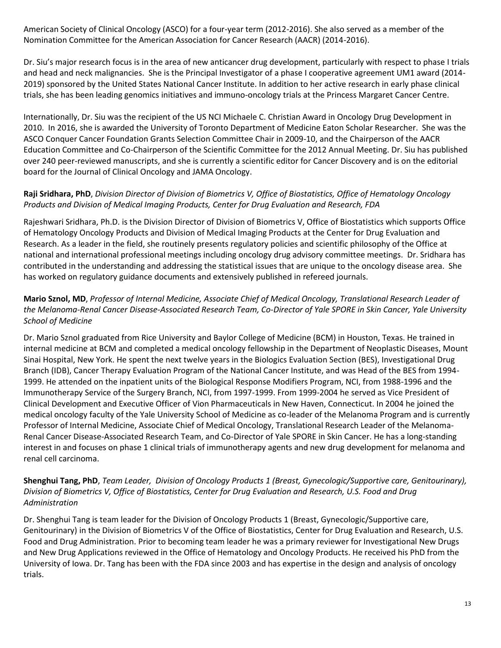American Society of Clinical Oncology (ASCO) for a four-year term (2012-2016). She also served as a member of the Nomination Committee for the American Association for Cancer Research (AACR) (2014-2016).

Dr. Siu's major research focus is in the area of new anticancer drug development, particularly with respect to phase I trials and head and neck malignancies. She is the Principal Investigator of a phase I cooperative agreement UM1 award (2014- 2019) sponsored by the United States National Cancer Institute. In addition to her active research in early phase clinical trials, she has been leading genomics initiatives and immuno-oncology trials at the Princess Margaret Cancer Centre.

Internationally, Dr. Siu was the recipient of the US NCI Michaele C. Christian Award in Oncology Drug Development in 2010. In 2016, she is awarded the University of Toronto Department of Medicine Eaton Scholar Researcher. She was the ASCO Conquer Cancer Foundation Grants Selection Committee Chair in 2009-10, and the Chairperson of the AACR Education Committee and Co-Chairperson of the Scientific Committee for the 2012 Annual Meeting. Dr. Siu has published over 240 peer-reviewed manuscripts, and she is currently a scientific editor for Cancer Discovery and is on the editorial board for the Journal of Clinical Oncology and JAMA Oncology.

### **Raji Sridhara, PhD**, *Division Director of Division of Biometrics V, Office of Biostatistics, Office of Hematology Oncology Products and Division of Medical Imaging Products, Center for Drug Evaluation and Research, FDA*

Rajeshwari Sridhara, Ph.D. is the Division Director of Division of Biometrics V, Office of Biostatistics which supports Office of Hematology Oncology Products and Division of Medical Imaging Products at the Center for Drug Evaluation and Research. As a leader in the field, she routinely presents regulatory policies and scientific philosophy of the Office at national and international professional meetings including oncology drug advisory committee meetings. Dr. Sridhara has contributed in the understanding and addressing the statistical issues that are unique to the oncology disease area. She has worked on regulatory guidance documents and extensively published in refereed journals.

### **Mario Sznol, MD**, *Professor of Internal Medicine, Associate Chief of Medical Oncology, Translational Research Leader of the Melanoma-Renal Cancer Disease-Associated Research Team, Co-Director of Yale SPORE in Skin Cancer, Yale University School of Medicine*

Dr. Mario Sznol graduated from Rice University and Baylor College of Medicine (BCM) in Houston, Texas. He trained in internal medicine at BCM and completed a medical oncology fellowship in the Department of Neoplastic Diseases, Mount Sinai Hospital, New York. He spent the next twelve years in the Biologics Evaluation Section (BES), Investigational Drug Branch (IDB), Cancer Therapy Evaluation Program of the National Cancer Institute, and was Head of the BES from 1994- 1999. He attended on the inpatient units of the Biological Response Modifiers Program, NCI, from 1988-1996 and the Immunotherapy Service of the Surgery Branch, NCI, from 1997-1999. From 1999-2004 he served as Vice President of Clinical Development and Executive Officer of Vion Pharmaceuticals in New Haven, Connecticut. In 2004 he joined the medical oncology faculty of the Yale University School of Medicine as co-leader of the Melanoma Program and is currently Professor of Internal Medicine, Associate Chief of Medical Oncology, Translational Research Leader of the Melanoma-Renal Cancer Disease-Associated Research Team, and Co-Director of Yale SPORE in Skin Cancer. He has a long-standing interest in and focuses on phase 1 clinical trials of immunotherapy agents and new drug development for melanoma and renal cell carcinoma.

### **Shenghui Tang, PhD**, *Team Leader, Division of Oncology Products 1 (Breast, Gynecologic/Supportive care, Genitourinary), Division of Biometrics V, Office of Biostatistics, Center for Drug Evaluation and Research, U.S. Food and Drug Administration*

Dr. Shenghui Tang is team leader for the Division of Oncology Products 1 (Breast, Gynecologic/Supportive care, Genitourinary) in the Division of Biometrics V of the Office of Biostatistics, Center for Drug Evaluation and Research, U.S. Food and Drug Administration. Prior to becoming team leader he was a primary reviewer for Investigational New Drugs and New Drug Applications reviewed in the Office of Hematology and Oncology Products. He received his PhD from the University of Iowa. Dr. Tang has been with the FDA since 2003 and has expertise in the design and analysis of oncology trials.